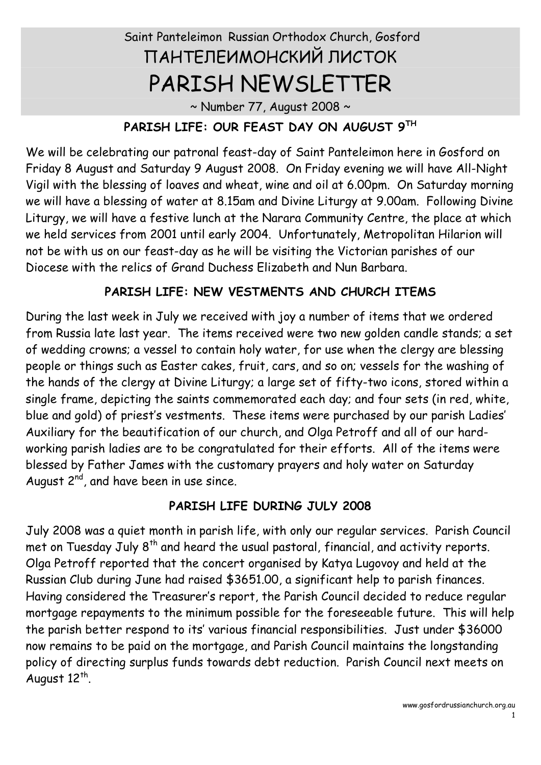# Saint Panteleimon Russian Orthodox Church, Gosford ПАНТЕЛЕИМОНСКИЙ ЛИСТОК PARISH NEWSLETTER

 $\sim$  Number 77, August 2008  $\sim$ 

## **PARISH LIFE: OUR FEAST DAY ON AUGUST 9 TH**

We will be celebrating our patronal feast-day of Saint Panteleimon here in Gosford on Friday 8 August and Saturday 9 August 2008. On Friday evening we will have All-Night Vigil with the blessing of loaves and wheat, wine and oil at 6.00pm. On Saturday morning we will have a blessing of water at 8.15am and Divine Liturgy at 9.00am. Following Divine Liturgy, we will have a festive lunch at the Narara Community Centre, the place at which we held services from 2001 until early 2004. Unfortunately, Metropolitan Hilarion will not be with us on our feast-day as he will be visiting the Victorian parishes of our Diocese with the relics of Grand Duchess Elizabeth and Nun Barbara.

## **PARISH LIFE: NEW VESTMENTS AND CHURCH ITEMS**

During the last week in July we received with joy a number of items that we ordered from Russia late last year. The items received were two new golden candle stands; a set of wedding crowns; a vessel to contain holy water, for use when the clergy are blessing people or things such as Easter cakes, fruit, cars, and so on; vessels for the washing of the hands of the clergy at Divine Liturgy; a large set of fifty-two icons, stored within a single frame, depicting the saints commemorated each day; and four sets (in red, white, blue and gold) of priest's vestments. These items were purchased by our parish Ladies' Auxiliary for the beautification of our church, and Olga Petroff and all of our hard working parish ladies are to be congratulated for their efforts. All of the items were blessed by Father James with the customary prayers and holy water on Saturday August 2 $^{\mathsf{nd}}$ , and have been in use since.

## **PARISH LIFE DURING JULY 2008**

July 2008 was a quiet month in parish life, with only our regular services. Parish Council met on Tuesday July  $8<sup>th</sup>$  and heard the usual pastoral, financial, and activity reports. Olga Petroff reported that the concert organised by Katya Lugovoy and held at the Russian Club during June had raised \$3651.00, a significant help to parish finances. Having considered the Treasurer's report, the Parish Council decided to reduce regular mortgage repayments to the minimum possible for the foreseeable future. This will help the parish better respond to its' various financial responsibilities. Just under \$36000 now remains to be paid on the mortgage, and Parish Council maintains the longstanding policy of directing surplus funds towards debt reduction. Parish Council next meets on August  $12^{th}$ .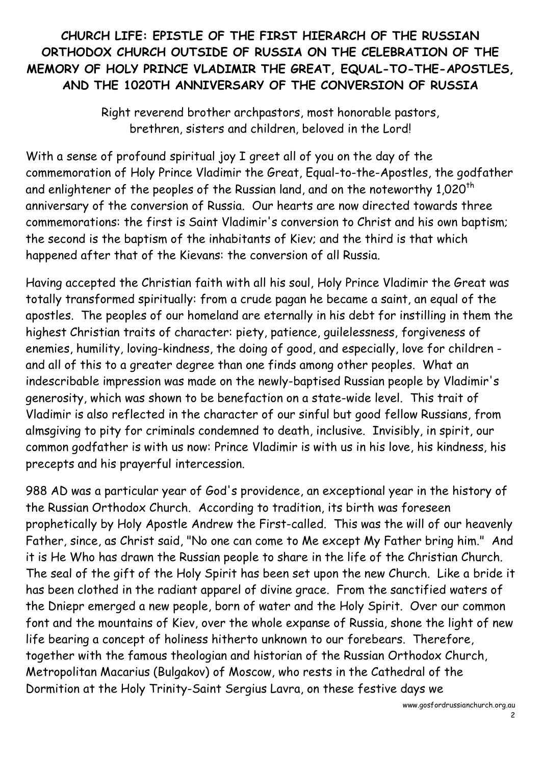## **CHURCH LIFE: EPISTLE OF THE FIRST HIERARCH OF THE RUSSIAN ORTHODOX CHURCH OUTSIDE OF RUSSIA ON THE CELEBRATION OF THE MEMORY OF HOLY PRINCE VLADIMIR THE GREAT, EQUAL-TO-THE-APOSTLES, AND THE 1020TH ANNIVERSARY OF THE CONVERSION OF RUSSIA**

Right reverend brother archpastors, most honorable pastors, brethren, sisters and children, beloved in the Lord!

With a sense of profound spiritual joy I greet all of you on the day of the commemoration of Holy Prince Vladimir the Great, Equal-to-the-Apostles, the godfather and enlightener of the peoples of the Russian land, and on the noteworthy 1,020<sup>th</sup> anniversary of the conversion of Russia. Our hearts are now directed towards three commemorations: the first is Saint Vladimir's conversion to Christ and his own baptism; the second is the baptism of the inhabitants of Kiev; and the third is that which happened after that of the Kievans: the conversion of all Russia.

Having accepted the Christian faith with all his soul, Holy Prince Vladimir the Great was totally transformed spiritually: from a crude pagan he became a saint, an equal of the apostles. The peoples of our homeland are eternally in his debt for instilling in them the highest Christian traits of character: piety, patience, guilelessness, forgiveness of enemies, humility, loving-kindness, the doing of good, and especially, love for children and all of this to a greater degree than one finds among other peoples. What an indescribable impression was made on the newly-baptised Russian people by Vladimir's generosity, which was shown to be benefaction on a state-wide level. This trait of Vladimir is also reflected in the character of our sinful but good fellow Russians, from almsgiving to pity for criminals condemned to death, inclusive. Invisibly, in spirit, our common godfather is with us now: Prince Vladimir is with us in his love, his kindness, his precepts and his prayerful intercession.

988 AD was a particular year of God's providence, an exceptional year in the history of the Russian Orthodox Church. According to tradition, its birth was foreseen prophetically by Holy Apostle Andrew the First-called. This was the will of our heavenly Father, since, as Christ said, "No one can come to Me except My Father bring him." And it is He Who has drawn the Russian people to share in the life of the Christian Church. The seal of the gift of the Holy Spirit has been set upon the new Church. Like a bride it has been clothed in the radiant apparel of divine grace. From the sanctified waters of the Dniepr emerged a new people, born of water and the Holy Spirit. Over our common font and the mountains of Kiev, over the whole expanse of Russia, shone the light of new life bearing a concept of holiness hitherto unknown to our forebears. Therefore, together with the famous theologian and historian of the Russian Orthodox Church, Metropolitan Macarius (Bulgakov) of Moscow, who rests in the Cathedral of the Dormition at the Holy Trinity-Saint Sergius Lavra, on these festive days we

[www.gosfordrussianchurch.org](http://www.rocor.org.au/stpanteleimonchurch/).au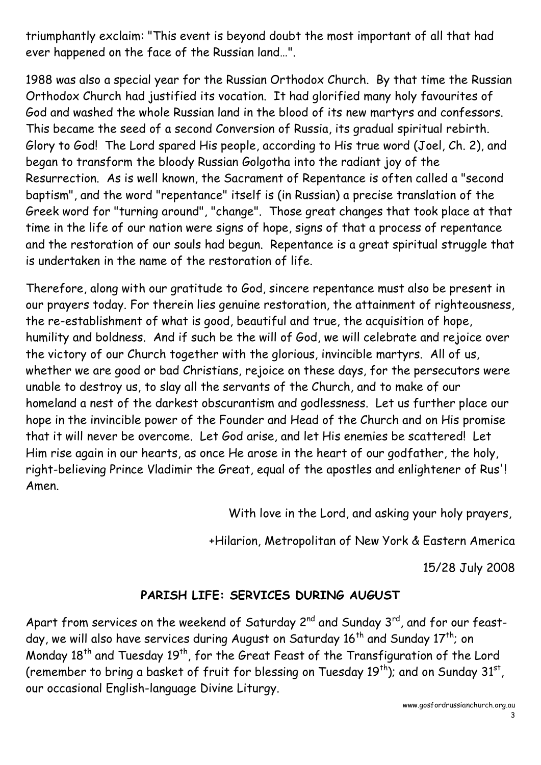triumphantly exclaim: "This event is beyond doubt the most important of all that had ever happened on the face of the Russian land…".

1988 was also a special year for the Russian Orthodox Church. By that time the Russian Orthodox Church had justified its vocation. It had glorified many holy favourites of God and washed the whole Russian land in the blood of its new martyrs and confessors. This became the seed of a second Conversion of Russia, its gradual spiritual rebirth. Glory to God! The Lord spared His people, according to His true word (Joel, Ch. 2), and began to transform the bloody Russian Golgotha into the radiant joy of the Resurrection. As is well known, the Sacrament of Repentance is often called a "second baptism", and the word "repentance" itself is (in Russian) a precise translation of the Greek word for "turning around", "change". Those great changes that took place at that time in the life of our nation were signs of hope, signs of that a process of repentance and the restoration of our souls had begun. Repentance is a great spiritual struggle that is undertaken in the name of the restoration of life.

Therefore, along with our gratitude to God, sincere repentance must also be present in our prayers today. For therein lies genuine restoration, the attainment of righteousness, the re-establishment of what is good, beautiful and true, the acquisition of hope, humility and boldness. And if such be the will of God, we will celebrate and rejoice over the victory of our Church together with the glorious, invincible martyrs. All of us,<br>whether we are good or bad Christians, rejoice on these days, for the persecutors were unable to destroy us, to slay all the servants of the Church, and to make of our homeland a nest of the darkest obscurantism and godlessness. Let us further place our hope in the invincible power of the Founder and Head of the Church and on His promise that it will never be overcome. Let God arise, and let His enemies be scattered! Let Him rise again in our hearts, as once He arose in the heart of our godfather, the holy, right-believing Prince Vladimir the Great, equal of the apostles and enlightener of Rus'! Amen.

With love in the Lord, and asking your holy prayers,

+Hilarion, Metropolitan of New York & Eastern America

15/28 July 2008

#### **PARISH LIFE: SERVICES DURING AUGUST**

Apart from services on the weekend of Saturday 2 $^{\mathsf{nd}}$  and Sunday 3 $^{\mathsf{rd}}$ , and for our feastday, we will also have services during August on Saturday 16<sup>th</sup> and Sunday 17<sup>th</sup>; on Monday 18<sup>th</sup> and Tuesday 19<sup>th</sup>, for the Great Feast of the Transfiguration of the Lord (remember to bring a basket of fruit for blessing on Tuesday 19<sup>th</sup>); and on Sunday 31<sup>st</sup>,<br>our occasional English-language Divine Liturgy.